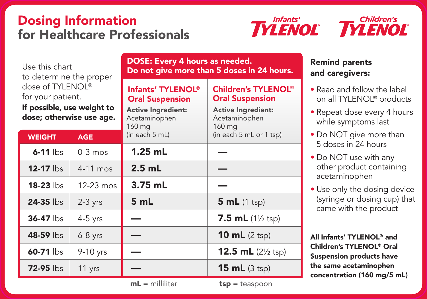## Dosing Information for Healthcare Professionals



| Use this chart<br>to determine the proper                                                       |             | DOSE: Every 4 hours as needed.<br>Do not give more than 5 doses in 24 hours.                                    |                                                                                                                         |
|-------------------------------------------------------------------------------------------------|-------------|-----------------------------------------------------------------------------------------------------------------|-------------------------------------------------------------------------------------------------------------------------|
| dose of TYLENOL®<br>for your patient.<br>If possible, use weight to<br>dose; otherwise use age. |             | Infants' TYLENOL <sup>®</sup><br><b>Oral Suspension</b><br><b>Active Ingredient:</b><br>Acetaminophen<br>160 mg | <b>Children's TYLENOL<sup>®</sup></b><br><b>Oral Suspension</b><br><b>Active Ingredient:</b><br>Acetaminophen<br>160 mg |
| <b>WEIGHT</b>                                                                                   | <b>AGE</b>  | (in each 5 mL)                                                                                                  | (in each 5 mL or 1 tsp)                                                                                                 |
| $6-11$ lbs                                                                                      | $0-3$ mos   | $1.25$ mL                                                                                                       |                                                                                                                         |
| 12-17 lbs                                                                                       | $4-11$ mos  | $2.5$ mL                                                                                                        |                                                                                                                         |
| $18-23$ lbs                                                                                     | $12-23$ mos | $3.75$ mL                                                                                                       |                                                                                                                         |
| $24-35$ lbs                                                                                     | $2-3$ yrs   | 5 mL                                                                                                            | 5 mL (1 tsp)                                                                                                            |
| $36-47$ lbs                                                                                     | $4-5$ yrs   |                                                                                                                 | 7.5 mL $(1\frac{1}{2} \text{ tsp})$                                                                                     |
| 48-59 lbs                                                                                       | $6-8$ yrs   |                                                                                                                 | 10 $mL$ (2 tsp)                                                                                                         |
| 60-71 lbs                                                                                       | 9-10 yrs    |                                                                                                                 | 12.5 $mL$ (2 <sup>1/2</sup> tsp)                                                                                        |
| $72-95$ lbs                                                                                     | 11 yrs      |                                                                                                                 | $15 mL$ (3 tsp)                                                                                                         |

 $mL =$  milliliter  $tsp =$  teaspoon

## Remind parents and caregivers:

- Read and follow the label on all TYLENOL® products
- Repeat dose every 4 hours while symptoms last
- Do NOT give more than 5 doses in 24 hours
- Do NOT use with any other product containing acetaminophen
- Use only the dosing device (syringe or dosing cup) that came with the product

All Infants' TYLENOL® and Children's TYLENOL® Oral Suspension products have the same acetaminophen concentration (160 mg/5 mL)